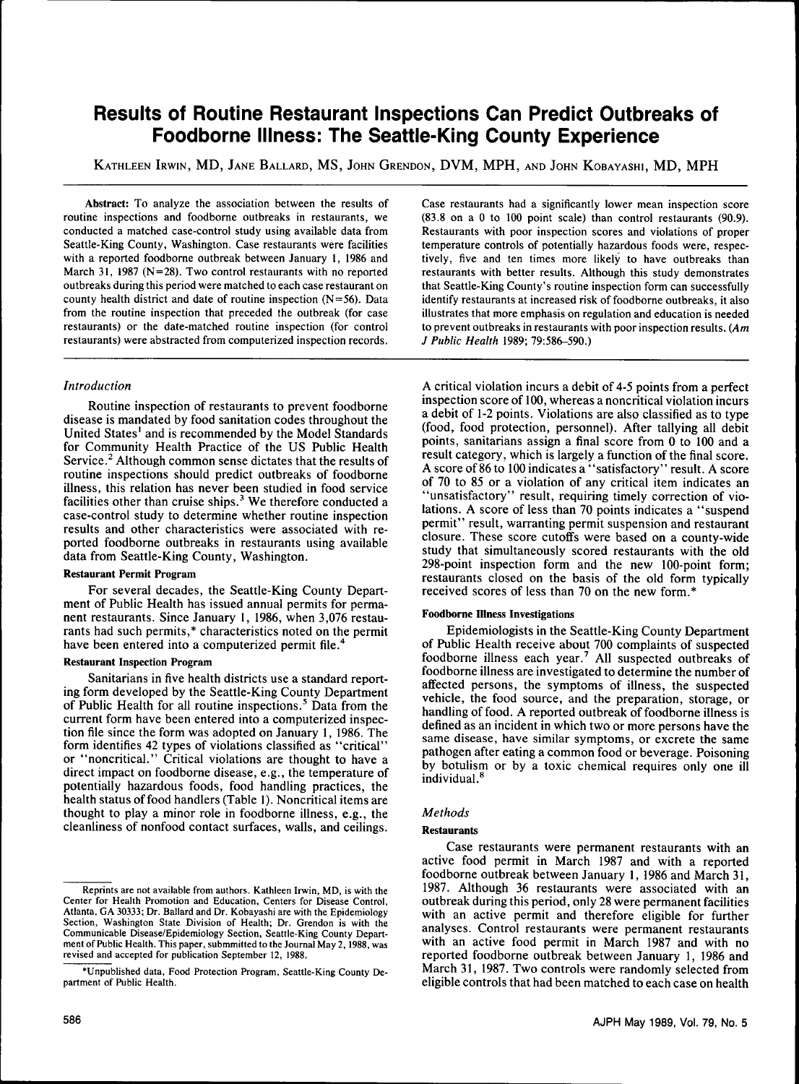# **Results of Routine Restaurant Inspections Can Predict Outbreaks of Foodborne Illness: The Seattle-King County Experience**

KATHLEEN IRWIN, MD, JANE BALLARD, MS, JOHN GRENDON, DVM, MPH, AND JOHN KOBAYASHI, MD, MPH

**Abstract:** To analyze the association between the results of routine inspections and foodbome outbreaks in restaurants, we conducted a matched case-control study using available data from Seattle-King County, Washington. Case restaurants were facilities with a reported foodbome outbreak between January 1, 1986 and March 31, 1987 (N=28). Two control restaurants with no reported outbreaks during this period were matched to each case restaurant on county health district and date of routine inspection  $(N=56)$ . Data from the routine inspection that preceded the outbreak (for case restaurants) or the date-matched routine inspection (for control restaurants) were abstracted from computerized inspection records.

## *Introduction*

Routine inspection of restaurants to prevent foodborne disease is mandated by food sanitation codes throughout the United States' and is recommended by the Model Standards for Community Health Practice of the US Public Health Service. $<sup>2</sup>$  Although common sense dictates that the results of</sup> routine inspections should predict outbreaks of foodborne illness, this relation has never been studied in food service facilities other than cruise ships.<sup>3</sup> We therefore conducted a case-control study to determine whether routine inspection results and other characteristics were associated with reported foodborne outbreaks in restaurants using available data from Seattle-King County, Washington.

#### Restaurant Permit Program

For several decades, the Seattle-King County Department of Public Health has issued annual permits for permanent restaurants. Since January 1, 1986, when 3,076 restaurants had such permits,\* characteristics noted on the permit have been entered into a computerized permit file."

#### Restaurant Inspection Program

Sanitarians in five health districts use a standard reporting form developed by the Seattle-King County Department of Public Health for all routine inspections.' Data from the current form have been entered into a computerized inspection file since the form was adopted on January 1, 1986. The form identifies 42 types of violations classified as "critical" or "noncritical." Critical violations are thought to have a direct impact on foodborne disease, e.g., the temperature of potentially hazardous foods, food handling practices, the health status of food handlers (Table 1). Noncritical items are thought to play a minor role in foodborne illness, e.g., the cleanliness of nonfood contact surfaces, walls, and ceilings.

Case restaurants had a significantly lower mean inspection score (83.8 on a 0 to 100 point scale) than control restaurants (90.9). Restaurants with poor inspection scores and violations of proper temperature controls of potentially hazardous foods were, respectively, five and ten times more likely to have outbreaks than restaurants with better results. Although this study demonstrates that Seattle-King County's routine inspection form can successfully identify restaurants at increased risk of foodbome outbreaks, it also illustrates that more emphasis on regulation and education is needed to prevent outbreaks in restaurants with poor inspection results. *{Am J Public Health* 1989; 79:586-590.)

A critical violation incurs a debit of 4-5 points from a perfect inspection score of 100, whereas a noncritical violation incurs a debit of 1-2 points. Violations are also classified as to type (food, food protection, personnel). After tallying all debit points, sanitarians assign a final score from 0 to 100 and a result category, which is largely a function of the final score. A score of 86 to 100 indicates a "satisfactory" result. A score of 70 to 85 or a violation of any critical item indicates an "unsatisfactory" result, requiring timely correction of violations. A score of less than 70 points indicates a "suspend permit" result, warranting permit suspension and restaurant closure. These score cutoffs were based on a county-wide study that simultaneously scored restaurants with the old 298-point inspection form and the new 100-point form; restaurants closed on the basis of the old form typically received scores of less than 70 on the new form.\*

## Foodborne Illness Investigations

Epidemiologists in the Seattle-King County Department of Public Health receive about 700 complaints of suspected foodborne illness each year.^ All suspected outbreaks of foodborne illness are investigated to determine the number of affected persons, the symptoms of illness, the suspected vehicle, the food source, and the preparation, storage, or handling of food. A reported outbreak of foodborne illness is defined as an incident in which two or more persons have the same disease, have similar symptoms, or excrete the same pathogen after eating a common food or beverage. Poisoning by botulism or by a toxic chemical requires only one ill individual.<sup>8</sup>

## *Methods*

## **Restaurants**

Case restaurants were permanent restaurants with an active food permit in March 1987 and with a reported foodborne outbreak between January 1, 1986 and March 31, 1987. Although 36 restaurants were associated with an outbreak during this period, only 28 were permanent facilities with an active permit and therefore eligible for further analyses. Control restaurants were permanent restaurants with an active food permit in March 1987 and with no reported foodborne outbreak between January 1, 1986 and March 31, 1987. Two controls were randomly selected from eligible controls that had been matched to each case on health

Reprints are not available from authors. Kathleen Irwin, MD, is with the Center for Health Promotion and Education, Centers for Disease Control, Atlanta, GA 30333; Dr. Ballard and Dr. Kobayashi are with the Epidemiology Section, Washington State Division of Health; Dr. Grendon is with the Communicable Disease/Epidemiology Section, Seattle-King County Department of Public Health. This paper, submmitted to the Joumal May 2,1988, was revised and accepted for publication September 12, 1988.

<sup>&#</sup>x27;Unpublished data. Food Protection Program, Seattle-King County Department of Public Health.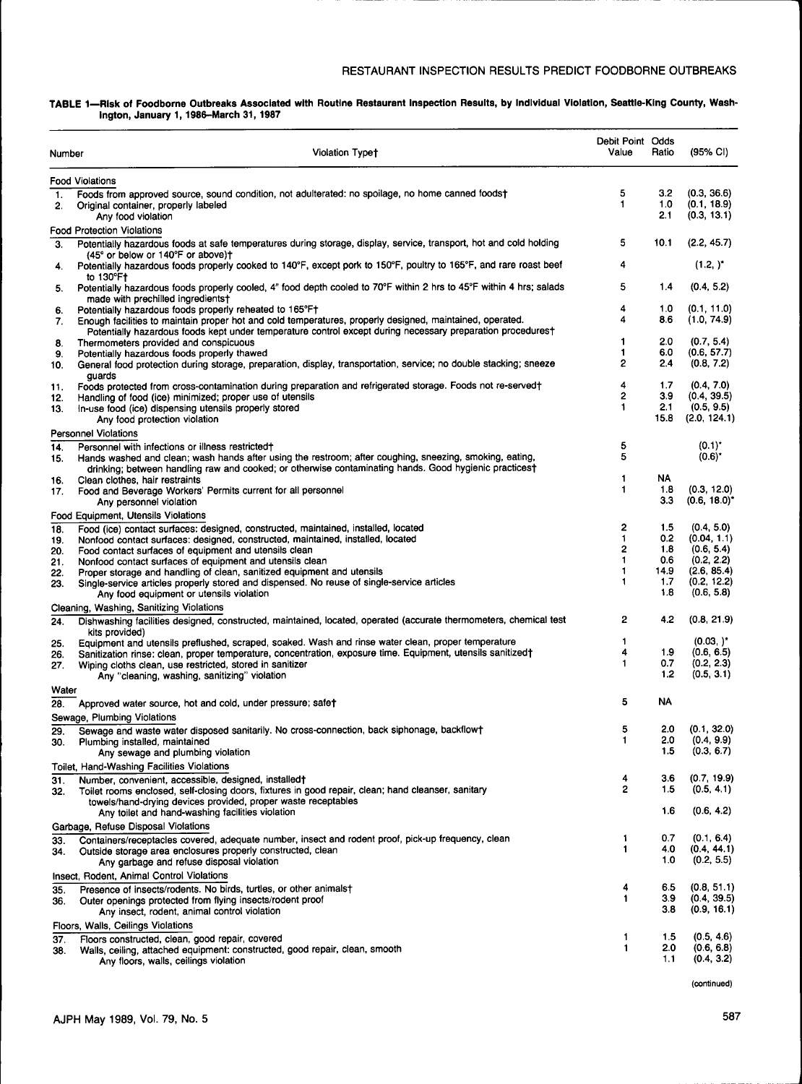#### **TABLE 1—Risk of Foodborne Outbreaks Associated with Routine Restaurant Inspection Results, by Individual Violation, Seattle-King County, Washington, January 1,1986-March 31,1987**

| Number | Violation Typet                                                                                                                                        | Debit Point Odds<br>Value | Ratio      | (95% CI)                  |
|--------|--------------------------------------------------------------------------------------------------------------------------------------------------------|---------------------------|------------|---------------------------|
|        | <b>Food Violations</b>                                                                                                                                 |                           |            |                           |
| 1.     | Foods from approved source, sound condition, not adulterated: no spoilage, no home canned foodst                                                       | 5                         | 3.2        | (0.3, 36.6)               |
| 2.     | Original container, properly labeled                                                                                                                   | 1                         | 1.0        | (0.1, 18.9)               |
|        | Any food violation                                                                                                                                     |                           | 2.1        | (0.3, 13.1)               |
|        | <b>Food Protection Violations</b>                                                                                                                      |                           |            |                           |
|        |                                                                                                                                                        | 5                         | 10.1       |                           |
| З.     | Potentially hazardous foods at safe temperatures during storage, display, service, transport, hot and cold holding                                     |                           |            | (2.2, 45.7)               |
|        | (45° or below or 140°F or above)†<br>Potentially hazardous foods properly cooked to 140°F, except pork to 150°F, poultry to 165°F, and rare roast beef | 4                         |            | $(1.2,)^*$                |
| 4.     | to 130°F†                                                                                                                                              |                           |            |                           |
| 5.     | Potentially hazardous foods properly cooled, 4" food depth cooled to 70°F within 2 hrs to 45°F within 4 hrs; salads                                    | 5                         | 1.4        | (0.4, 5.2)                |
|        | made with prechilled ingredients†                                                                                                                      |                           |            |                           |
| 6.     | Potentially hazardous foods properly reheated to 165°F†                                                                                                | 4                         | 1.0        | (0.1, 11.0)               |
| 7.     | Enough facilities to maintain proper hot and cold temperatures, properly designed, maintained, operated.                                               | 4                         | 86         | (1.0, 74.9)               |
|        | Potentially hazardous foods kept under temperature control except during necessary preparation procedures†                                             |                           |            |                           |
| 8.     | Thermometers provided and conspicuous                                                                                                                  | 1                         | 2.0        | (0.7, 5.4)                |
| 9.     | Potentially hazardous foods properly thawed                                                                                                            | 1                         | 6.0        | (0.6, 57.7)               |
| 10.    | General food protection during storage, preparation, display, transportation, service; no double stacking; sneeze                                      | $\overline{c}$            | 2.4        | (0.8, 7.2)                |
|        | quards                                                                                                                                                 |                           |            |                           |
| 11.    | Foods protected from cross-contamination during preparation and refrigerated storage. Foods not re-served†                                             | 4<br>2                    | 1.7<br>3.9 | (0.4, 7.0)                |
| 12.    | Handling of food (ice) minimized; proper use of utensils                                                                                               | $\mathbf{1}$              | 2.1        | (0.4, 39.5)<br>(0.5, 9.5) |
| 13.    | In-use food (ice) dispensing utensils properly stored                                                                                                  |                           | 15.8       | (2.0, 124.1)              |
|        | Any food protection violation                                                                                                                          |                           |            |                           |
|        | <b>Personnel Violations</b>                                                                                                                            |                           |            |                           |
| 14.    | Personnel with infections or illness restricted†                                                                                                       | 5                         |            | $(0.1)^*$                 |
| 15.    | Hands washed and clean; wash hands after using the restroom; after coughing, sneezing, smoking, eating,                                                | 5                         |            | $(0.6)^*$                 |
|        | drinking; between handling raw and cooked; or otherwise contaminating hands. Good hygienic practices†                                                  |                           |            |                           |
| 16.    | Clean clothes, hair restraints                                                                                                                         | 1                         | NA.        |                           |
| 17.    | Food and Beverage Workers' Permits current for all personnel                                                                                           | 1                         | 1.8        | (0.3, 12.0)               |
|        | Any personnel violation                                                                                                                                |                           | 3.3        | $(0.6, 18.0)^*$           |
|        | Food Equipment, Utensils Violations                                                                                                                    |                           |            |                           |
| 18.    | Food (ice) contact surfaces: designed, constructed, maintained, installed, located                                                                     | 2                         | 1.5        | (0.4, 5.0)                |
| 19.    | Nonfood contact surfaces: designed, constructed, maintained, installed, located                                                                        | 1                         | 0.2        | (0.04, 1.1)               |
| 20.    | Food contact surfaces of equipment and utensils clean                                                                                                  | 2                         | 1.8        | (0.6, 5.4)                |
| 21.    | Nonfood contact surfaces of equipment and utensils clean                                                                                               | 1                         | 0.6        | (0.2, 2.2)                |
| 22.    | Proper storage and handling of clean, sanitized equipment and utensils                                                                                 | 1                         | 14.9       | (2.6, 85.4)               |
| 23.    | Single-service articles properly stored and dispensed. No reuse of single-service articles                                                             | 1                         | 1.7<br>1.8 | (0.2, 12.2)<br>(0.6, 5.8) |
|        | Any food equipment or utensils violation                                                                                                               |                           |            |                           |
|        | Cleaning, Washing, Sanitizing Violations                                                                                                               |                           |            |                           |
| 24.    | Dishwashing facilities designed, constructed, maintained, located, operated (accurate thermometers, chemical test                                      | 2                         | 4.2        | (0.8, 21.9)               |
|        | kits provided)                                                                                                                                         |                           |            |                           |
| 25.    | Equipment and utensils preflushed, scraped, soaked. Wash and rinse water clean, proper temperature                                                     | 1                         |            | $(0.03, )^*$              |
| 26.    | Sanitization rinse: clean, proper temperature, concentration, exposure time. Equipment, utensils sanitized†                                            | 4                         | 1.9        | (0.6, 6.5)                |
| 27.    | Wiping cloths clean, use restricted, stored in sanitizer                                                                                               | 1                         | 0.7        | (0.2, 2.3)                |
|        | Any "cleaning, washing, sanitizing" violation                                                                                                          |                           | 1.2        | (0.5, 3.1)                |
| Water  |                                                                                                                                                        |                           |            |                           |
| 28.    | Approved water source, hot and cold, under pressure; safet                                                                                             | 5                         | ΝA         |                           |
|        | Sewage, Plumbing Violations                                                                                                                            |                           |            |                           |
| 29.    | Sewage and waste water disposed sanitarily. No cross-connection, back siphonage, backflow†                                                             | 5                         | 2.0        | (0.1, 32.0)               |
| 30.    | Plumbing installed, maintained                                                                                                                         | 1                         | 2.0        | (0.4, 9.9)                |
|        | Any sewage and plumbing violation                                                                                                                      |                           | 1.5        | (0.3, 6.7)                |
|        |                                                                                                                                                        |                           |            |                           |
|        | Toilet, Hand-Washing Facilities Violations                                                                                                             |                           |            |                           |
| 31.    | Number, convenient, accessible, designed, installed†                                                                                                   | 4<br>$\overline{c}$       | 3.6        | (0.7, 19.9)               |
| 32.    | Toilet rooms enclosed, self-closing doors, fixtures in good repair, clean; hand cleanser, sanitary                                                     |                           | 1.5        | (0.5, 4.1)                |
|        | towels/hand-drying devices provided, proper waste receptables                                                                                          |                           | 1.6        | (0.6, 4.2)                |
|        | Any toilet and hand-washing facilities violation                                                                                                       |                           |            |                           |
|        | Garbage, Refuse Disposal Violations                                                                                                                    |                           |            |                           |
| 33.    | Containers/receptacles covered, adequate number, insect and rodent proof, pick-up frequency, clean                                                     | 1                         | 0.7        | (0.1, 6.4)                |
| 34.    | Outside storage area enclosures properly constructed, clean                                                                                            | 1                         | 4.0        | (0.4, 44.1)               |
|        | Any garbage and refuse disposal violation                                                                                                              |                           | 1.0        | (0.2, 5.5)                |
|        | Insect, Rodent, Animal Control Violations                                                                                                              |                           |            |                           |
| 35.    | Presence of insects/rodents. No birds, turtles, or other animalst                                                                                      | 4                         | 65         | (0.8, 51.1)               |
| 36.    | Outer openings protected from flying insects/rodent proof                                                                                              | 1                         | 3.9        | (0.4, 39.5)               |
|        | Any insect, rodent, animal control violation                                                                                                           |                           | 3.8        | (0.9, 16.1)               |
|        | Floors, Walls, Ceilings Violations                                                                                                                     |                           |            |                           |
|        |                                                                                                                                                        | 1                         | 1.5        | (0.5, 4.6)                |
| 37.    | Floors constructed, clean, good repair, covered                                                                                                        | 1                         | 2.0        | (0.6, 6.8)                |
| 38.    | Walls, ceiling, attached equipment: constructed, good repair, clean, smooth                                                                            |                           | 1.1        | (0.4, 3.2)                |
|        | Any floors, walls, ceilings violation                                                                                                                  |                           |            |                           |

(continued)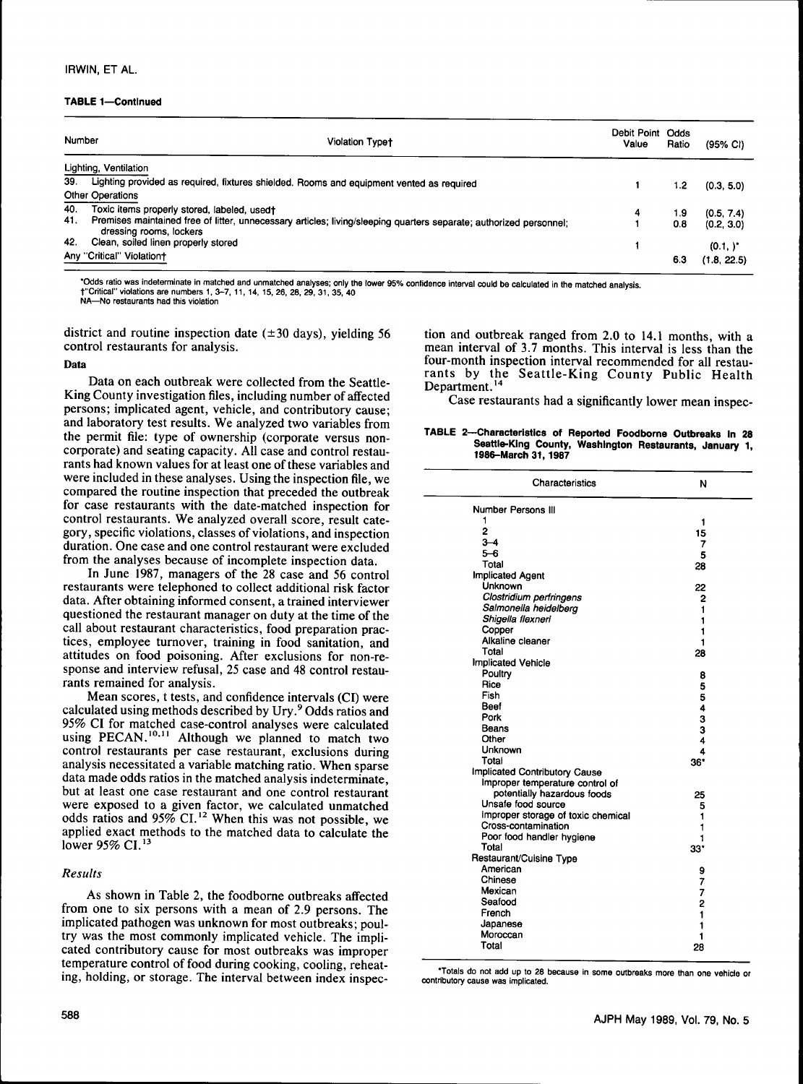#### IRWIN, ET AL.

## **TABLE 1—Continued**

| Number | <b>Violation Typet</b>                                                                                                                        | Debit Point Odds<br>Value | Ratio          | $(95% \text{ Cl})$ |
|--------|-----------------------------------------------------------------------------------------------------------------------------------------------|---------------------------|----------------|--------------------|
|        | Lighting, Ventilation                                                                                                                         |                           |                |                    |
| 39.    | Lighting provided as required, fixtures shielded. Rooms and equipment vented as required                                                      |                           | $\overline{2}$ | (0.3, 5.0)         |
|        | <b>Other Operations</b>                                                                                                                       |                           |                |                    |
| 40.    | Toxic items properly stored, labeled, used†                                                                                                   | 4                         | 1.9            | (0.5, 7.4)         |
| 41.    | Premises maintained free of litter, unnecessary articles; living/sleeping quarters separate; authorized personnel;<br>dressing rooms, lockers |                           | 0.8            | (0.2, 3.0)         |
| 42.    | Clean, soiled linen properly stored                                                                                                           |                           |                | $(0.1, )^*$        |
|        | Any "Critical" Violation+                                                                                                                     |                           | 6.3            | (1.8, 22.5)        |

**•Odds ratio was indeterminate in matched and unmatched analyses; only the lower 95% confidence interval could be calculated in the matched analysis t'Critical" violations are numbers 1, 3-7, 11, 14, 15, 26, 28, 29, 31, 35, 40 NA—No restaurants had this violation**

district and routine inspection date  $(\pm 30 \text{ days})$ , yielding 56 control restaurants for analysis.

#### Data

Data on each outbreak were collected from the Seattle-King County investigation files, including number of affected persons; implicated agent, vehicle, and contributory cause; and laboratory test results. We analyzed two variables from the permit file: type of ownership (corporate versus noncorporate) and seating capacity. All case and control restaurants had known values for at least one of these variables and were included in these analyses. Using the inspection file, we compared the routine inspection that preceded the outbreak for case restaurants with the date-matched inspection for control restaurants. We analyzed overall score, result category, specific violations, classes of violations, and inspection duration. One case and one control restaurant were excluded from the analyses because of incomplete inspection data.

In June 1987, managers of the 28 case and 56 control restaurants were telephoned to collect additional risk factor data. After obtaining informed consent, a trained interviewer questioned the restaurant manager on duty at the time of the call about restaurant characteristics, food preparation practices, employee turnover, training in food sanitation, and attitudes on food poisoning. After exclusions for non-response and interview refusal, 25 case and 48 control restaurants remained for analysis.

Mean scores, t tests, and confidence intervals (CI) were calculated using methods described by Ury.<sup>9</sup> Odds ratios and 95% CI for matched case-control analyses were calculated using PECAN.<sup>10,11</sup> Although we planned to match two control restaurants per case restaurant, exclusions during analysis necessitated a variable matching ratio. When sparse data made odds ratios in the matched analysis indeterminate, but at least one case restaurant and one control restaurant were exposed to a given factor, we calculated unmatched odds ratios and 95% CI.<sup>12</sup> When this was not possible, we applied exact methods to the matched data to calculate the lower 95% CI. $13$ 

## *Results*

As shown in Table 2, the foodborne outbreaks affected from one to six persons with a mean of 2.9 persons. The implicated pathogen was unknown for most outbreaks; poultry was the most commonly implicated vehicle. The implicated contributory cause for most outbreaks was improper temperature control of food during cooking, cooling, reheating, holding, or storage. The interval between index inspection and outbreak ranged from 2.0 to 14.1 months, with a mean interval of 3.7 months. This interval is less than the four-month inspection interval recommended for all restaurants by the Seattle-King County Public Health Department.<sup>1</sup>

Case restaurants had a significantly lower mean inspec-

| TABLE 2-Characteristics of Reported Foodborne Outbreaks in 28 |  |
|---------------------------------------------------------------|--|
| Seattle-King County, Washington Restaurants, January 1,       |  |
| 1986–March 31, 1987                                           |  |

| Characteristics                    | Ń             |
|------------------------------------|---------------|
| <b>Number Persons III</b>          |               |
| 1                                  | 1             |
| 2                                  | 15            |
| $3 - 4$                            | 7             |
| $5 - 6$                            | 5             |
| <b>Total</b>                       | 28            |
| <b>Implicated Agent</b>            |               |
| Unknown                            | 22            |
| Clostridium perfringens            | 2             |
| Salmonella heidelberg              | 1             |
| Shigella flexneri                  | 1             |
| Copper                             | 1             |
| Alkaline cleaner                   | 1             |
| Total                              | 28            |
| <b>Implicated Vehicle</b>          |               |
| Poultry                            | 8             |
| Rice                               |               |
| Fish                               |               |
| Beet                               |               |
| Pork                               |               |
| Beans                              | 554334        |
| Other                              |               |
| Unknown                            | 4             |
| Total                              | 36"           |
| Implicated Contributory Cause      |               |
| Improper temperature control of    |               |
| potentially hazardous foods        | 25            |
| Unsafe food source                 | 5             |
| Improper storage of toxic chemical | 1             |
| Cross-contamination                | 1             |
| Poor food handler hygiene          | 1             |
| Total                              | 33"           |
| Restaurant/Cuisine Type            |               |
| American                           | 9             |
| Chinese                            | 7             |
| Mexican                            | $\frac{7}{2}$ |
| Seafood                            |               |
| French                             | 1             |
| Japanese                           | 1             |
| Moroccan                           | 1             |
| Total                              | 28            |

**•Totals do not add up to 28 because in some outbreaks more than one vehicle or contributory cause was implicated.**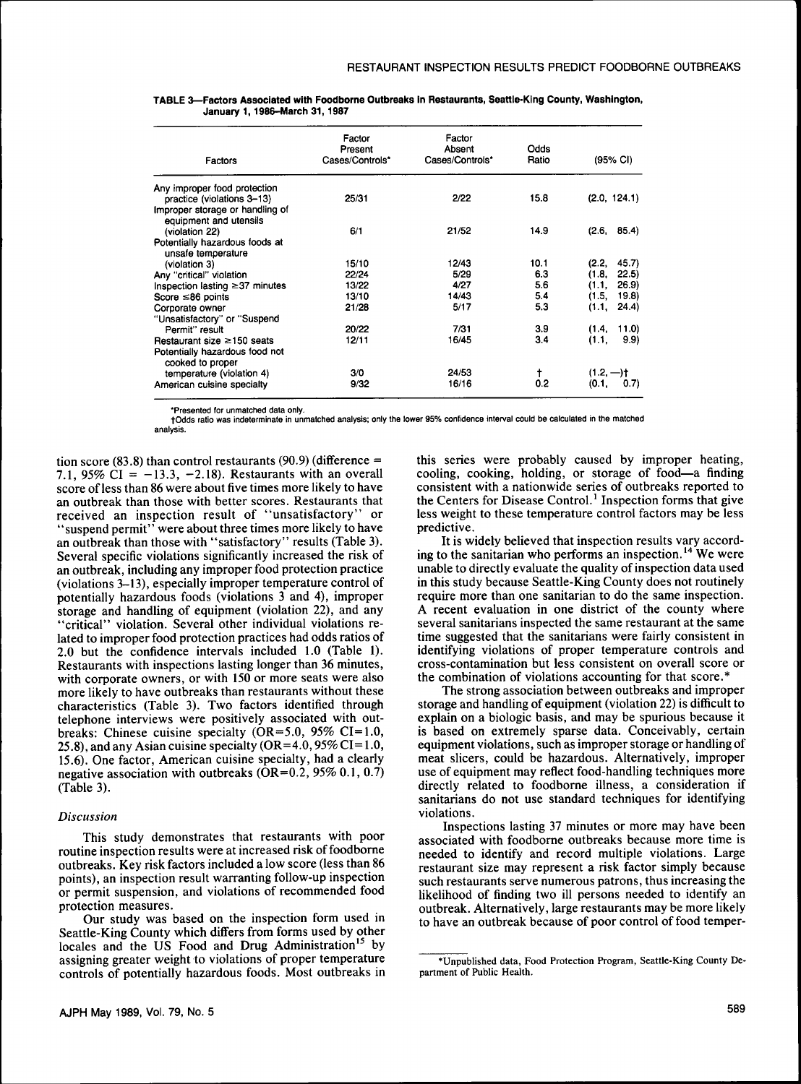| Factors                                                                                 | Factor<br>Present<br>Cases/Controls* | Factor<br>Absent<br>Cases/Controls* | Odds<br>Ratio | (95% CI)        |
|-----------------------------------------------------------------------------------------|--------------------------------------|-------------------------------------|---------------|-----------------|
| Any improper food protection                                                            |                                      |                                     |               |                 |
| practice (violations 3-13)<br>Improper storage or handling of<br>equipment and utensils | 25/31                                | 2/22                                | 15.8          | (2.0, 124.1)    |
| (violation 22)                                                                          | 6/1                                  | 21/52                               | 14.9          | (2.6, 85.4)     |
| Potentially hazardous foods at<br>unsafe temperature                                    |                                      |                                     |               |                 |
| (violation 3)                                                                           | 15/10                                | 12/43                               | 10.1          | 45.7)<br>(2.2,  |
| Any "critical" violation                                                                | 22/24                                | 5/29                                | 6.3           | (22.5)<br>(1.8, |
| Inspection lasting $\geq$ 37 minutes                                                    | 13/22                                | 4/27                                | 5.6           | 26.9<br>(1.1,   |
| Score $\leq 86$ points                                                                  | 13/10                                | 14/43                               | 5.4           | 19.8)<br>(1.5,  |
| Corporate owner<br>"Unsatisfactory" or "Suspend                                         | 21/28                                | 5/17                                | 5.3           | 24.4)<br>(1.1,  |
| Permit" result                                                                          | 20/22                                | 7/31                                | 3.9           | 11.0<br>(1.4,   |
| Restaurant size $\geq$ 150 seats<br>Potentially hazardous food not<br>cooked to proper  | 12/11                                | 16/45                               | 3.4           | 9.9)<br>(1.1,   |
| temperature (violation 4)                                                               | 3/0                                  | 24/53                               |               | $(1.2, -)$ t    |
| American cuisine specialty                                                              | 9/32                                 | 16/16                               | 0.2           | (0.1.<br>0.7)   |

| TABLE 3-Factors Associated with Foodborne Outbreaks in Restaurants, Seattle-King County, Washington, |  |  |
|------------------------------------------------------------------------------------------------------|--|--|
| January 1, 1986–March 31, 1987                                                                       |  |  |

'Presented for unmatched data only.

tOdds ratio was indeterminate in unmatched analysis; only the lower 95% conlidence interval could be calculated in the matched analysis.

tion score (83.8) than control restaurants (90.9) (difference  $=$ 7.1, 95% CI =  $-13.3$ ,  $-2.18$ ). Restaurants with an overall score of less than 86 were about five times more likely to have an outbreak than those with better scores. Restaurants that received an inspection result of "unsatisfactory" or "suspend permit" were about three times more likely to have an outbreak than those with "satisfactory" results (Table 3). Several specific violations significantly increased the risk of an outbreak, including any improper food protection practice (violations 3-13), especially improper temperature control of potentially hazardous foods (violations 3 and 4), improper storage and handling of equipment (violation 22), and any "critical" violation. Several other individual violations related to improper food protection practices had odds ratios of 2.0 but the confidence intervals included 1.0 (Table 1). Restaurants with inspections lasting longer than 36 minutes, with corporate owners, or with 150 or more seats were also more likely to have outbreaks than restaurants without these characteristics (Table 3). Two factors identified through telephone interviews were positively associated with outbreaks: Chinese cuisine specialty  $(OR=5.0, 95\% \text{ CI}=1.0,$ 25.8), and any Asian cuisine specialty (OR=4.0,95% CI=1.0, 15.6). One factor, American cuisine specialty, had a clearly negative association with outbreaks  $(OR=0.2, 95\% 0.1, 0.7)$ (Table 3).

#### *Discussion*

This study demonstrates that restaurants with poor routine inspection results were at increased risk of foodborne outbreaks. Key risk factors included a low score (less than 86 points), an inspection result warranting follow-up inspection or permit suspension, and violations of recommended food protection measures.

Our study was based on the inspection form used in Seattle-King County which differs from forms used by other locales and the US Food and Drug Administration<sup>15</sup> by assigning greater weight to violations of proper temperature controls of potentially hazardous foods. Most outbreaks in this series were probably caused by improper heating, cooling, cooking, holding, or storage of food—a finding consistent with a nationwide series of outbreaks reported to the Centers for Disease Control.' Inspection forms that give less weight to these temperature control factors may be less predictive.

It is widely believed that inspection results vary according to the sanitarian who performs an inspection.<sup>14</sup> We were unable to directly evaluate the quality of inspection data used in this study because Seattle-King County does not routinely require more than one sanitarian to do the same inspection. A recent evaluation in one district of the county where several sanitarians inspected the same restaurant at the same time suggested that the sanitarians were fairly consistent in identifying violations of proper temperature controls and cross-contamination but less consistent on overall score or the combination of violations accounting for that score.\*

The strong association between outbreaks and improper storage and handling of equipment (violation 22) is difficult to explain on a biologic basis, and may be spurious because it is based on extremely sparse data. Conceivably, certain equipment violations, such as improper storage or handling of meat slicers, could be hazardous. Alternatively, improper use of equipment may reflect food-handling techniques more directly related to foodborne illness, a consideration if sanitarians do not use standard techniques for identifying violations.

Inspections lasting 37 minutes or more may have been associated with foodborne outbreaks because more time is needed to identify and record multiple violations. Large restaurant size may represent a risk factor simply because such restaurants serve numerous patrons, thus increasing the likelihood of finding two ill persons needed to identify an outbreak. Alternatively, large restaurants may be more likely to have an outbreak because of poor control of food temper-

<sup>•</sup>Unpublished data. Food Protection Program, Seattle-King County Department of Public Health.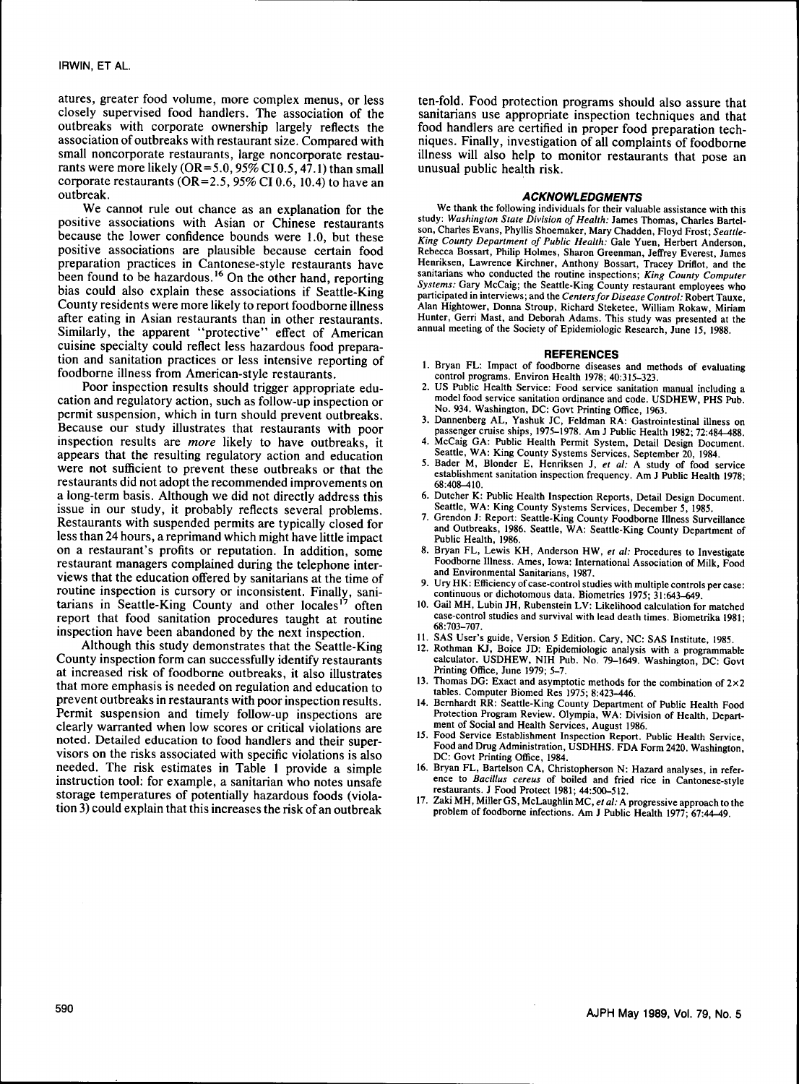atures, greater food volume, more complex menus, or less closely supervised food handlers. The association of the outbreaks with corporate ownership largely reflects the association of outbreaks with restaurant size. Compared with small noncorporate restaurants, large noncorporate restaurants were more likely  $(OR = 5.0, 95\% \text{ CI } 0.5, 47.1)$  than small corporate restaurants (OR=2.5, 95% CI 0.6, 10.4) to have an outbreak.

We cannot rule out chance as an explanation for the positive associations with Asian or Chinese restaurants because the lower confidence bounds were 1.0, but these positive associations are plausible because certain food preparation practices in Cantonese-style restaurants have been found to be hazardous.<sup>16</sup> On the other hand, reporting bias could also explain these associations if Seattle-King County residents were more likely to report foodborne illness after eating in Asian restaurants than in other restaurants. Similarly, the apparent "protective" effect of American cuisine specialty could reflect less hazardous food preparation and sanitation practices or less intensive reporting of foodborne illness from American-style restaurants.

Poor inspection results should trigger appropriate education and regulatory action, such as follow-up inspection or permit suspension, which in turn should prevent outbreaks. Because our study illustrates that restaurants with poor inspection results are *more* likely to have outbreaks, it appears that the resulting regulatory action and education were not sufficient to prevent these outbreaks or that the restaurants did not adopt the recommended improvements on a long-term basis. Although we did not directly address this issue in our study, it probably reflects several problems. Restaurants with suspended permits are typically closed for less than 24 hours, a reprimand which might have little impact on a restaurant's profits or reputation. In addition, some restaurant managers complained during the telephone interviews that the education offered by sanitarians at the time of routine inspection is cursory or inconsistent. Finally, sanitarians in Seattle-King County and other  $locales<sup>17</sup>$  often report that food sanitation procedures taught at routine inspection have been abandoned by the next inspection.

Although this study demonstrates that the Seattle-King County inspection form can successfully identify restaurants at increased risk of foodborne outbreaks, it also illustrates that more emphasis is needed on regulation and education to prevent outbreaks in restaurants with poor inspection results. Permit suspension and timely follow-up inspections are clearly warranted when low scores or critical violations are noted. Detailed education to food handlers and their supervisors on the risks associated with specific violations is also needed. The risk estimates in Table 1 provide a simple instruction tool: for example, a sanitarian who notes unsafe storage temperatures of potentially hazardous foods (violation 3) could explain that this increases the risk of an outbreak

ten-fold. Food protection programs should also assure that sanitarians use appropriate inspection techniques and that food handlers are certified in proper food preparation techniques. Finally, investigation of all complaints of foodborne illness will also help to monitor restaurants that pose an unusual public health risk.

#### **ACKNOWLEDGMENTS**

We thank the following individuals for their valuable assistance with this study: *Washington State Division of Health:* James Thomas, Charles Bartelson, Charles Evans, Phyllis Shoemaker, Mary Chadden, Floyd Frost; *Seattle-King County Department of Public Health:* Gale Yuen, Herbert Anderson, Rebecca Bossart, Philip Holmes, Sharon Greenman, Jeffrey Everest, James Henriksen, Lawrence Kirchner, Anthony Bossart, Tracey Driflot, and the sanitarians who conducted the routine inspections; *King County Computer Systems:* Gary McCaig; the Seattle-King County restaurant employees who participated in interviews; and the *Centers for Disease Control:* Robert Tauxe, Alan Hightower, Donna Stroup, Richard Steketee, William Rokaw, Miriam Hunter, Gerri Mast, and Deborah Adams. This study was presented at the annual meeting of the Society of Epidemiologic Research, June 15, 1988.

#### **REFERENCES**

- 1. Bryan FL: Impact of foodborne diseases and methods of evaluating control programs. Environ Health 1978; 40:315-323.
- 2. US Public Health Service: Food service sanitation manual including a model food service sanitation ordinance and code. USDHEW, PHS Pub. No. 934. Washington, DC: Govt Printing Office, 1963.
- 3. Dannenberg AL, Yashuk JC, Feldman RA: Gastrointestinal illness on passenger cruise ships, 1975-1978. Am J Public Health 1982; 72:484-488.
- McCaig GA: Public Health Permit System, Detail Design Document. Seattle, WA: King County Systems Services, September 20, 1984.
- 5. Bader M, Blonder E, Henriksen J, *et al: A* study of food service establishment sanitation inspection frequency. Am J Public Health 1978; 68:408-410.
- 6. Dutcher K: Public Health Inspection Reports, Detail Design Document. Seattle, WA: King County Systems Services, December 5, 1985.
- 7. Grendon J: Report: Seattle-King County Foodborne Illness Surveillance and Outbreaks, 1986. Seattle, WA: Seattle-King County Department of Public Health, 1986.
- 8. Bryan FL, Lewis KH, Anderson HW, *et al:* Procedures to Investigate Foodborne Illness. Ames, Iowa: Intemational Association of Milk, Food and Environmental Sanitarians, 1987.
- 9. Ury HK: Efficiency of case-control studies with multiple controls per case: continuous or dichotomous data. Biometrics 1975; 31:643-649.
- 10. Gail MH, Lubin JH, Rubenstein LV: Likelihood calculation for matched case-control studies and survival with lead death times. Biometrika 1981; 68:703-707.
- SAS User's guide, Version 5 Edition. Cary, NC: SAS Institute, 1985.
- 12. Rothman KJ, Boice JD: Epidemiologic analysis with a programmable calculator. USDHEW, NIH Pub. No. 79-1649. Washington, DC: Govt Printing Office, June 1979; 5-7.
- Thomas DG: Exact and asymptotic methods for the combination of  $2 \times 2$ tables. Computer Biomed Res 1975; 8:423-446.
- 14. Bemhardt RR: Seattle-King County Department of Public Health Food Protection Program Review. Olympia, WA: Division of Health, Department of Social and Health Services, August 1986.
- 15. Food Service Establishment Inspection Report. Public Health Service, Food and Drug Administration, USDHHS. FDA Form 2420. Washington, DC: Govt Printing Office, 1984.
- 16. Bryan FL, Bartelson CA, Christopherson N: Hazard analyses, in reference to *Bacillus cereus* of boiled and fried rice in Cantonese-style restaurants. J Food Protect 1981; 44:500-512.
- 17. Zaki MH, Miller GS, McLaughlin MC, *et al:* A progressive approach to the problem of foodborne infections. Am J Public Health 1977; 67:44-49.